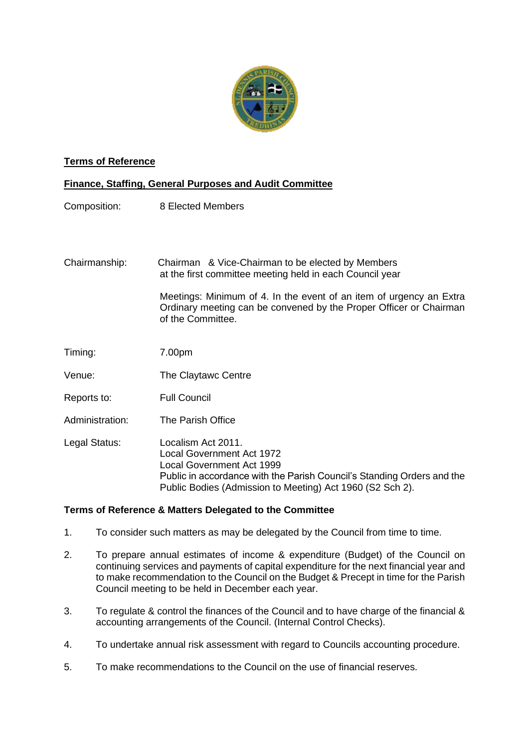

## **Terms of Reference**

## **Finance, Staffing, General Purposes and Audit Committee**

Composition: 8 Elected Members

Chairmanship: Chairman & Vice-Chairman to be elected by Members at the first committee meeting held in each Council year

> Meetings: Minimum of 4. In the event of an item of urgency an Extra Ordinary meeting can be convened by the Proper Officer or Chairman of the Committee.

- Timing: 7.00pm
- Venue: The Claytawc Centre
- Reports to: Full Council
- Administration: The Parish Office

Legal Status: Localism Act 2011. Local Government Act 1972 Local Government Act 1999 Public in accordance with the Parish Council's Standing Orders and the Public Bodies (Admission to Meeting) Act 1960 (S2 Sch 2).

## **Terms of Reference & Matters Delegated to the Committee**

- 1. To consider such matters as may be delegated by the Council from time to time.
- 2. To prepare annual estimates of income & expenditure (Budget) of the Council on continuing services and payments of capital expenditure for the next financial year and to make recommendation to the Council on the Budget & Precept in time for the Parish Council meeting to be held in December each year.
- 3. To regulate & control the finances of the Council and to have charge of the financial & accounting arrangements of the Council. (Internal Control Checks).
- 4. To undertake annual risk assessment with regard to Councils accounting procedure.
- 5. To make recommendations to the Council on the use of financial reserves.